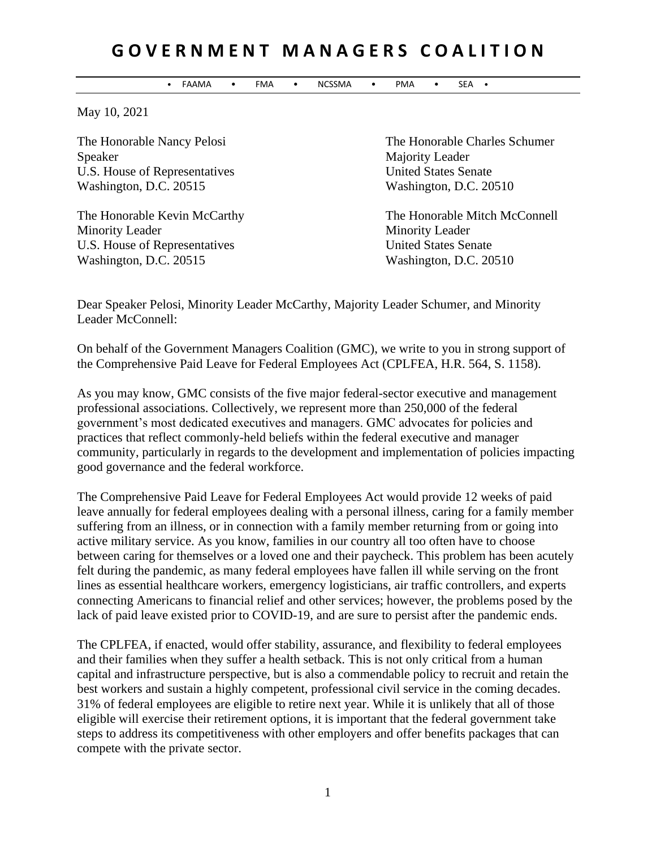## **G O V E R N M E N T M A N A G E R S C O A L I T I O N**

• FAAMA • FMA • NCSSMA • PMA • SEA •

May 10, 2021

Speaker Majority Leader U.S. House of Representatives United States Senate Washington, D.C. 20515 Washington, D.C. 20510

Minority Leader Minority Leader U.S. House of Representatives United States Senate Washington, D.C. 20515 Washington, D.C. 20510

The Honorable Nancy Pelosi **The Honorable Charles Schumer** 

The Honorable Kevin McCarthy The Honorable Mitch McConnell

Dear Speaker Pelosi, Minority Leader McCarthy, Majority Leader Schumer, and Minority Leader McConnell:

On behalf of the Government Managers Coalition (GMC), we write to you in strong support of the Comprehensive Paid Leave for Federal Employees Act (CPLFEA, H.R. 564, S. 1158).

As you may know, GMC consists of the five major federal-sector executive and management professional associations. Collectively, we represent more than 250,000 of the federal government's most dedicated executives and managers. GMC advocates for policies and practices that reflect commonly-held beliefs within the federal executive and manager community, particularly in regards to the development and implementation of policies impacting good governance and the federal workforce.

The Comprehensive Paid Leave for Federal Employees Act would provide 12 weeks of paid leave annually for federal employees dealing with a personal illness, caring for a family member suffering from an illness, or in connection with a family member returning from or going into active military service. As you know, families in our country all too often have to choose between caring for themselves or a loved one and their paycheck. This problem has been acutely felt during the pandemic, as many federal employees have fallen ill while serving on the front lines as essential healthcare workers, emergency logisticians, air traffic controllers, and experts connecting Americans to financial relief and other services; however, the problems posed by the lack of paid leave existed prior to COVID-19, and are sure to persist after the pandemic ends.

The CPLFEA, if enacted, would offer stability, assurance, and flexibility to federal employees and their families when they suffer a health setback. This is not only critical from a human capital and infrastructure perspective, but is also a commendable policy to recruit and retain the best workers and sustain a highly competent, professional civil service in the coming decades. 31% of federal employees are eligible to retire next year. While it is unlikely that all of those eligible will exercise their retirement options, it is important that the federal government take steps to address its competitiveness with other employers and offer benefits packages that can compete with the private sector.